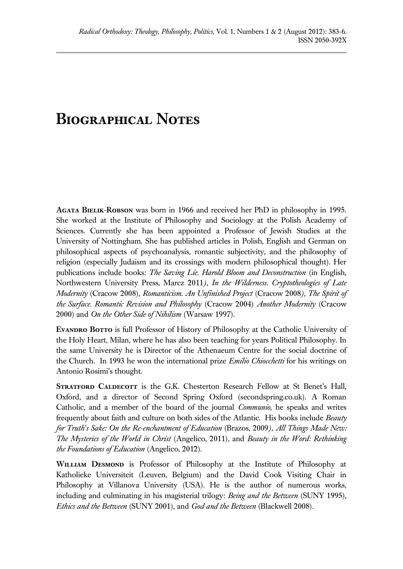## **Biographical Notes**

**Agata Bielik-Robson** was born in 1966 and received her PhD in philosophy in 1995. She worked at the Institute of Philosophy and Sociology at the Polish Academy of Sciences. Currently she has been appointed a Professor of Jewish Studies at the University of Nottingham. She has published articles in Polish, English and German on philosophical aspects of psychoanalysis, romantic subjectivity, and the philosophy of religion (especially Judaism and its crossings with modern philosophical thought). Her publications include books: *The Saving Lie. Harold Bloom and Deconstruction* (in English, Northwestern University Press, Marcz 2011*), In the Wilderness. Cryptotheologies of Late Modernity* (Cracow 2008), *Romanticism. An Unfinished Project* (Cracow 2008*), The Spirit of the Surface. Romantic Revision and Philosophy* (Cracow 2004) *Another Modernity* (Cracow 2000) and *On the Other Side of Nihilism* (Warsaw 1997).

**Evandro Botto** is full Professor of History of Philosophy at the Catholic University of the Holy Heart, Milan, where he has also been teaching for years Political Philosophy. In the same University he is Director of the Athenaeum Centre for the social doctrine of the Church. In 1993 he won the international prize *Emilio Chiocchetti* for his writings on Antonio Rosimi's thought.

**Stratford Caldecott** is the G.K. Chesterton Research Fellow at St Benet's Hall, Oxford, and a director of Second Spring Oxford (secondspring.co.uk). A Roman Catholic, and a member of the board of the journal *Communio*, he speaks and writes frequently about faith and culture on both sides of the Atlantic. His books include *Beauty for Truth's Sake: On the Re-enchantment of Education* (Brazos, 2009*), All Things Made New: The Mysteries of the World in Christ* (Angelico, 2011), and *Beauty in the Word: Rethinking the Foundations of Education* (Angelico, 2012).

**William Desmond** is Professor of Philosophy at the Institute of Philosophy at Katholieke Universiteit (Leuven, Belgium) and the David Cook Visiting Chair in Philosophy at Villanova University (USA). He is the author of numerous works, including and culminating in his magisterial trilogy: *Being and the Between* (SUNY 1995), *Ethics and the Between* (SUNY 2001), and *God and the Between* (Blackwell 2008).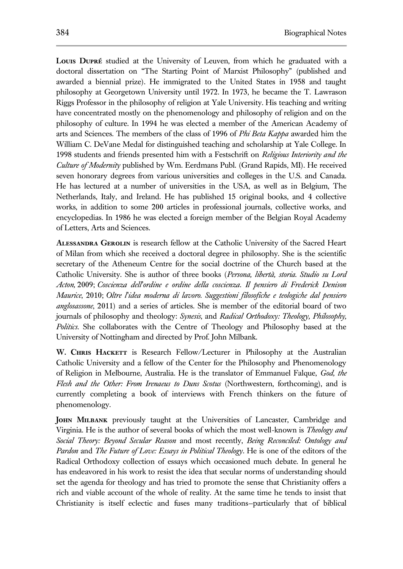**Louis Dupré** studied at the University of Leuven, from which he graduated with a doctoral dissertation on "The Starting Point of Marxist Philosophy" (published and awarded a biennial prize). He immigrated to the United States in 1958 and taught philosophy at Georgetown University until 1972. In 1973, he became the T. Lawrason Riggs Professor in the philosophy of religion at Yale University. His teaching and writing have concentrated mostly on the phenomenology and philosophy of religion and on the philosophy of culture. In 1994 he was elected a member of the American Academy of arts and Sciences. The members of the class of 1996 of *Phi Beta Kappa* awarded him the William C. DeVane Medal for distinguished teaching and scholarship at Yale College. In 1998 students and friends presented him with a Festschrift on *Religious Interiority and the Culture of Modernity* published by Wm. Eerdmans Publ. (Grand Rapids, MI). He received seven honorary degrees from various universities and colleges in the U.S. and Canada. He has lectured at a number of universities in the USA, as well as in Belgium, The Netherlands, Italy, and Ireland. He has published 15 original books, and 4 collective works, in addition to some 200 articles in professional journals, collective works, and encyclopedias. In 1986 he was elected a foreign member of the Belgian Royal Academy of Letters, Arts and Sciences.

**Alessandra Gerolin** is research fellow at the Catholic University of the Sacred Heart of Milan from which she received a doctoral degree in philosophy. She is the scientific secretary of the Atheneum Centre for the social doctrine of the Church based at the Catholic University. She is author of three books (*Persona, libertà, storia. Studio su Lord Acton,* 2009; *Coscienza dell'ordine e ordine della coscienza. Il pensiero di Frederick Denison Maurice*, 2010; *Oltre l'idea moderna di lavoro. Suggestioni filosofiche e teologiche dal pensiero anglosassone*, 2011) and a series of articles. She is member of the editorial board of two journals of philosophy and theology: *Synesis*, and *Radical Orthodoxy: Theology, Philosophy, Politics*. She collaborates with the Centre of Theology and Philosophy based at the University of Nottingham and directed by Prof. John Milbank.

**W. Chris Hackett** is Research Fellow/Lecturer in Philosophy at the Australian Catholic University and a fellow of the Center for the Philosophy and Phenomenology of Religion in Melbourne, Australia. He is the translator of Emmanuel Falque, *God, the Flesh and the Other: From Irenaeus to Duns Scotus* (Northwestern, forthcoming), and is currently completing a book of interviews with French thinkers on the future of phenomenology.

**John Milbank** previously taught at the Universities of Lancaster, Cambridge and Virginia. He is the author of several books of which the most well-known is *Theology and Social Theory: Beyond Secular Reason* and most recently, *Being Reconciled: Ontology and Pardon* and *The Future of Love: Essays in Political Theology*. He is one of the editors of the Radical Orthodoxy collection of essays which occasioned much debate. In general he has endeavored in his work to resist the idea that secular norms of understanding should set the agenda for theology and has tried to promote the sense that Christianity offers a rich and viable account of the whole of reality. At the same time he tends to insist that Christianity is itself eclectic and fuses many traditions—particularly that of biblical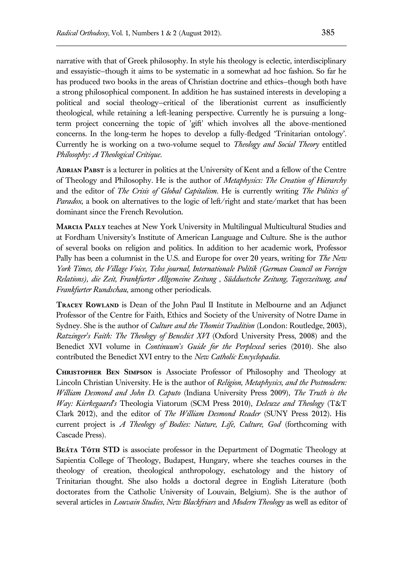narrative with that of Greek philosophy. In style his theology is eclectic, interdisciplinary and essayistic—though it aims to be systematic in a somewhat ad hoc fashion. So far he has produced two books in the areas of Christian doctrine and ethics—though both have a strong philosophical component. In addition he has sustained interests in developing a political and social theology—critical of the liberationist current as insufficiently theological, while retaining a left-leaning perspective. Currently he is pursuing a longterm project concerning the topic of 'gift' which involves all the above-mentioned concerns. In the long-term he hopes to develop a fully-fledged 'Trinitarian ontology'. Currently he is working on a two-volume sequel to *Theology and Social Theory* entitled *Philosophy: A Theological Critique*.

**Adrian Pabst** is a lecturer in politics at the University of Kent and a fellow of the Centre of Theology and Philosophy. He is the author of *[Metaphysics: The Creation of Hierarchy](http://www.eerdmans.com/Products/6451/metaphysics.aspx)* and the editor of *[The Crisis of Global Capitalism](https://wipfandstock.com/store/The_Crisis_of_Global_Capitalism_Pope_Benedict_XVIs_Social_Encyclical_and_the_Future_of_Political_Economy)*. He is currently writing *The Politics of Paradox*, a book on alternatives to the logic of left/right and state/market that has been dominant since the French Revolution.

**Marcia Pally** teaches at New York University in Multilingual Multicultural Studies and at Fordham University's Institute of American Language and Culture. She is the author of several books on religion and politics. In addition to her academic work, Professor Pally has been a columnist in the U.S. and Europe for over 20 years, writing for *The New York Times, the Village Voice, Telos journal, Internationale Politik (German Council on Foreign Relations), die Zeit, Frankfurter Allgemeine Zeitung , Südduetsche Zeitung, Tageszeitung, and Frankfurter Rundschau,* among other periodicals.

**TRACEY ROWLAND** is Dean of the John Paul II Institute in Melbourne and an Adjunct Professor of the Centre for Faith, Ethics and Society of the University of Notre Dame in Sydney. She is the author of *Culture and the Thomist Tradition* (London: Routledge, 2003), *Ratzinger's Faith: The Theology of Benedict XVI* (Oxford University Press, 2008) and the Benedict XVI volume in *Continuum's Guide for the Perplexed* series (2010). She also contributed the Benedict XVI entry to the *New Catholic Encyclopadia*.

**Christopher Ben Simpson** is Associate Professor of Philosophy and Theology at Lincoln Christian University. He is the author of *Religion, Metaphysics, and the Postmodern: William Desmond and John D. Caputo* (Indiana University Press 2009), *The Truth is the Way: Kierkegaard's* Theologia Viatorum (SCM Press 2010), *Deleuze and Theology* (T&T Clark 2012), and the editor of *The William Desmond Reader* (SUNY Press 2012). His current project is *A Theology of Bodies: Nature, Life, Culture, God* (forthcoming with Cascade Press).

**Beáta Tóth STD** is associate professor in the Department of Dogmatic Theology at Sapientia College of Theology, Budapest, Hungary, where she teaches courses in the theology of creation, theological anthropology, eschatology and the history of Trinitarian thought. She also holds a doctoral degree in English Literature (both doctorates from the Catholic University of Louvain, Belgium). She is the author of several articles in *Louvain Studies*, *New Blackfriars* and *Modern Theology* as well as editor of